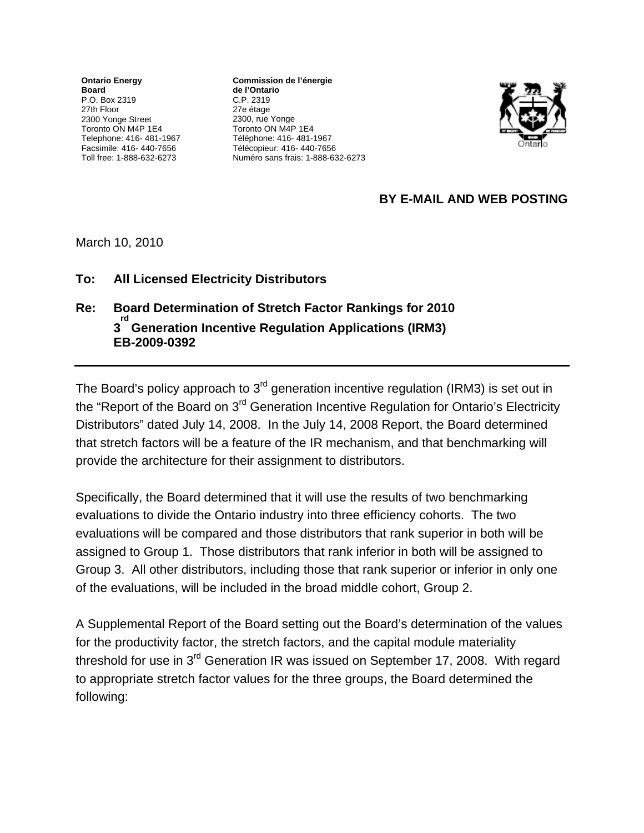**Ontario Energy Board**  P.O. Box 2319 27th Floor 2300 Yonge Street Toronto ON M4P 1E4 Telephone: 416- 481-1967 Facsimile: 416- 440-7656 Toll free: 1-888-632-6273

**Commission de l'énergie** de l'Ontario C.P. 2319 27e étage 2300, rue Yonge Toronto ON M4P 1E4 Téléphone: 416- 481-1967 Télécopieur: 416- 440-7656 Numéro sans frais: 1-888-632-6273



## **BY E-MAIL AND WEB POSTING**

March 10, 2010

## **To: All Licensed Electricity Distributors**

## **Re: Board Determination of Stretch Factor Rankings for 2010 3 rd Generation Incentive Regulation Applications (IRM3) EB-2009-0392**

The Board's policy approach to 3<sup>rd</sup> generation incentive regulation (IRM3) is set out in the "Report of the Board on 3<sup>rd</sup> Generation Incentive Regulation for Ontario's Electricity Distributors" dated July 14, 2008. In the July 14, 2008 Report, the Board determined that stretch factors will be a feature of the IR mechanism, and that benchmarking will provide the architecture for their assignment to distributors.

Specifically, the Board determined that it will use the results of two benchmarking evaluations to divide the Ontario industry into three efficiency cohorts. The two evaluations will be compared and those distributors that rank superior in both will be assigned to Group 1. Those distributors that rank inferior in both will be assigned to Group 3. All other distributors, including those that rank superior or inferior in only one of the evaluations, will be included in the broad middle cohort, Group 2.

A Supplemental Report of the Board setting out the Board's determination of the values for the productivity factor, the stretch factors, and the capital module materiality threshold for use in 3<sup>rd</sup> Generation IR was issued on September 17, 2008. With regard to appropriate stretch factor values for the three groups, the Board determined the following: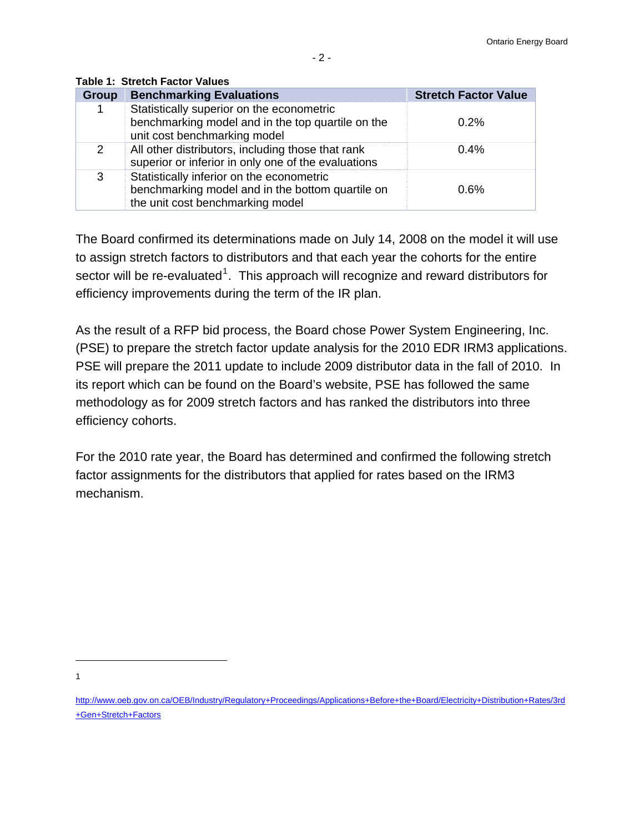| <b>Group</b> | <b>Benchmarking Evaluations</b>                                                                                                   | <b>Stretch Factor Value</b> |
|--------------|-----------------------------------------------------------------------------------------------------------------------------------|-----------------------------|
|              | Statistically superior on the econometric<br>benchmarking model and in the top quartile on the<br>unit cost benchmarking model    | 0.2%                        |
| 2            | All other distributors, including those that rank<br>superior or inferior in only one of the evaluations                          | $0.4\%$                     |
| 3            | Statistically inferior on the econometric<br>benchmarking model and in the bottom quartile on<br>the unit cost benchmarking model | 0.6%                        |

**Table 1: Stretch Factor Values** 

The Board confirmed its determinations made on July 14, 2008 on the model it will use to assign stretch factors to distributors and that each year the cohorts for the entire sector will be re-evaluated<sup>[1](#page-1-0)</sup>. This approach will recognize and reward distributors for efficiency improvements during the term of the IR plan.

As the result of a RFP bid process, the Board chose Power System Engineering, Inc. (PSE) to prepare the stretch factor update analysis for the 2010 EDR IRM3 applications. PSE will prepare the 2011 update to include 2009 distributor data in the fall of 2010. In its report which can be found on the Board's website, PSE has followed the same methodology as for 2009 stretch factors and has ranked the distributors into three efficiency cohorts.

For the 2010 rate year, the Board has determined and confirmed the following stretch factor assignments for the distributors that applied for rates based on the IRM3 mechanism.

1 1

<span id="page-1-0"></span>[http://www.oeb.gov.on.ca/OEB/Industry/Regulatory+Proceedings/Applications+Before+the+Board/Electricity+Distribution+Rates/3rd](http://www.oeb.gov.on.ca/OEB/Industry/Regulatory+Proceedings/Applications+Before+the+Board/Electricity+Distribution+Rates/3rd+Gen+Stretch+Factors) [+Gen+Stretch+Factors](http://www.oeb.gov.on.ca/OEB/Industry/Regulatory+Proceedings/Applications+Before+the+Board/Electricity+Distribution+Rates/3rd+Gen+Stretch+Factors)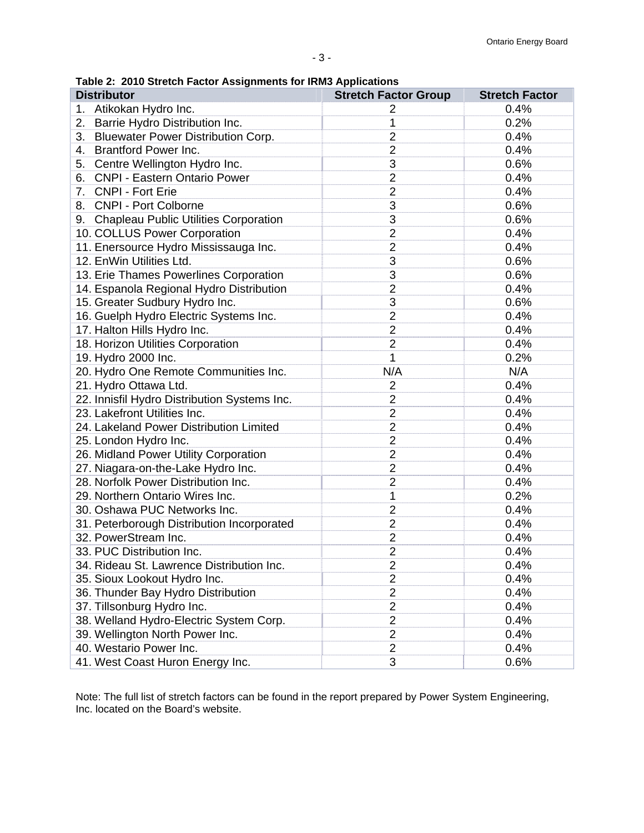**Table 2: 2010 Stretch Factor Assignments for IRM3 Applications** 

| <b>Distributor</b>                           | <b>Stretch Factor Group</b> | <b>Stretch Factor</b> |
|----------------------------------------------|-----------------------------|-----------------------|
| 1. Atikokan Hydro Inc.                       | $\overline{2}$              | 0.4%                  |
| Barrie Hydro Distribution Inc.<br>2.         | 1                           | 0.2%                  |
| 3. Bluewater Power Distribution Corp.        | $\overline{2}$              | 0.4%                  |
| <b>Brantford Power Inc.</b><br>4.            | $\overline{2}$              | 0.4%                  |
| Centre Wellington Hydro Inc.<br>5.           | 3                           | 0.6%                  |
| <b>CNPI - Eastern Ontario Power</b><br>6.    | $\overline{2}$              | 0.4%                  |
| 7. CNPI - Fort Erie                          | $\overline{2}$              | 0.4%                  |
| 8. CNPI - Port Colborne                      | 3                           | 0.6%                  |
| 9. Chapleau Public Utilities Corporation     | 3                           | 0.6%                  |
| 10. COLLUS Power Corporation                 | $\overline{2}$              | 0.4%                  |
| 11. Enersource Hydro Mississauga Inc.        | $\overline{2}$              | 0.4%                  |
| 12. EnWin Utilities Ltd.                     | 3                           | 0.6%                  |
| 13. Erie Thames Powerlines Corporation       | 3                           | 0.6%                  |
| 14. Espanola Regional Hydro Distribution     | $\overline{2}$              | 0.4%                  |
| 15. Greater Sudbury Hydro Inc.               | 3                           | 0.6%                  |
| 16. Guelph Hydro Electric Systems Inc.       | $\overline{2}$              | 0.4%                  |
| 17. Halton Hills Hydro Inc.                  | $\overline{2}$              | 0.4%                  |
| 18. Horizon Utilities Corporation            | $\overline{2}$              | 0.4%                  |
| 19. Hydro 2000 Inc.                          | 1                           | 0.2%                  |
| 20. Hydro One Remote Communities Inc.        | N/A                         | N/A                   |
| 21. Hydro Ottawa Ltd.                        | $\overline{2}$              | 0.4%                  |
| 22. Innisfil Hydro Distribution Systems Inc. | $\overline{2}$              | 0.4%                  |
| 23. Lakefront Utilities Inc.                 | $\overline{2}$              | 0.4%                  |
| 24. Lakeland Power Distribution Limited      | $\overline{2}$              | 0.4%                  |
| 25. London Hydro Inc.                        | $\overline{2}$              | 0.4%                  |
| 26. Midland Power Utility Corporation        | $\overline{2}$              | 0.4%                  |
| 27. Niagara-on-the-Lake Hydro Inc.           | $\overline{2}$              | 0.4%                  |
| 28. Norfolk Power Distribution Inc.          | $\overline{2}$              | 0.4%                  |
| 29. Northern Ontario Wires Inc.              | 1                           | 0.2%                  |
| 30. Oshawa PUC Networks Inc.                 | $\overline{2}$              | 0.4%                  |
| 31. Peterborough Distribution Incorporated   | $\overline{2}$              | 0.4%                  |
| 32. PowerStream Inc.                         | $\overline{\mathbf{c}}$     | 0.4%                  |
| 33. PUC Distribution Inc.                    | $\overline{2}$              | 0.4%                  |
| 34. Rideau St. Lawrence Distribution Inc.    | $\overline{2}$              | 0.4%                  |
| 35. Sioux Lookout Hydro Inc.                 | $\overline{2}$              | 0.4%                  |
| 36. Thunder Bay Hydro Distribution           | $\overline{2}$              | 0.4%                  |
| 37. Tillsonburg Hydro Inc.                   | $\overline{2}$              | 0.4%                  |
| 38. Welland Hydro-Electric System Corp.      | $\overline{2}$              | 0.4%                  |
| 39. Wellington North Power Inc.              | $\overline{2}$              | 0.4%                  |
| 40. Westario Power Inc.                      | $\overline{2}$              | 0.4%                  |
| 41. West Coast Huron Energy Inc.             | 3                           | 0.6%                  |

Note: The full list of stretch factors can be found in the report prepared by Power System Engineering, Inc. located on the Board's website.